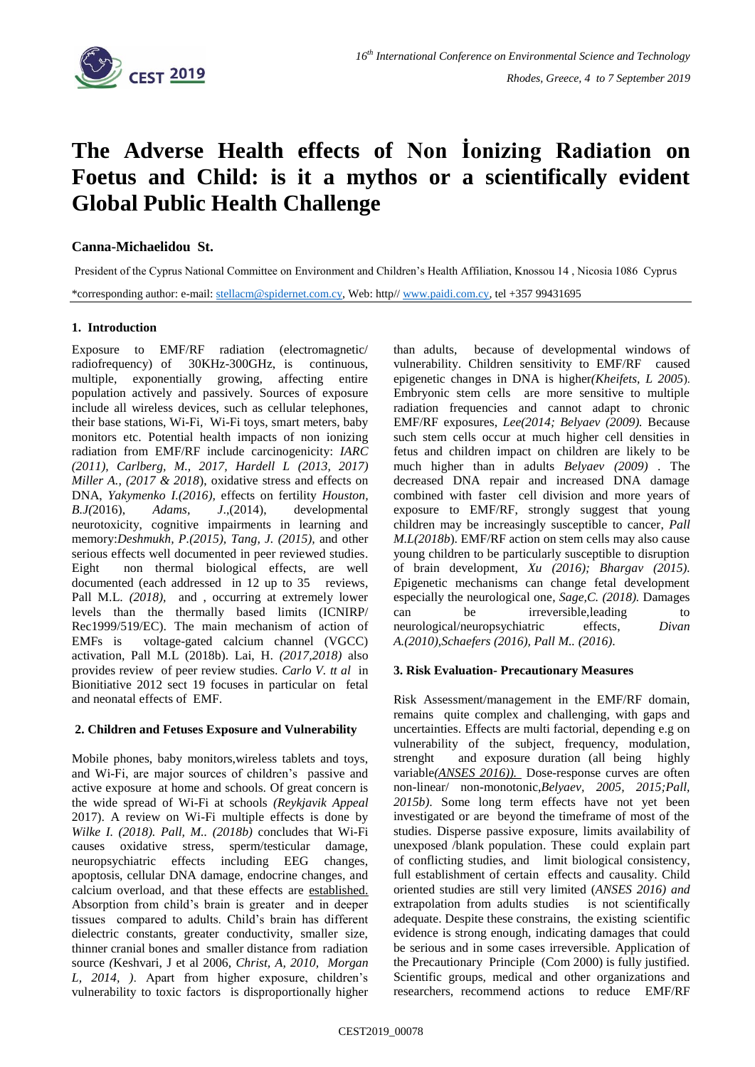

# **The Adverse Health effects of Non İonizing Radiation on Foetus and Child: is it a mythos or a scientifically evident Global Public Health Challenge**

**Canna-Michaelidou St.**

President of the Cyprus National Committee on Environment and Children's Health Affiliation, Knossou 14 , Nicosia 1086 Cyprus

\*corresponding author: e-mail: [stellacm@spidernet.com.cy,](mailto:stellacm@spidernet.com.cy) Web: http/[/ www.paidi.com.cy,](http://www.paidi.com.cy/) tel +357 99431695

## **1. Introduction**

Exposure to EMF/RF radiation (electromagnetic/ radiofrequency) of 30KHz-300GHz, is continuous, multiple, exponentially growing, affecting entire population actively and passively. Sources of exposure include all wireless devices, such as cellular telephones, their base stations, Wi-Fi, Wi-Fi toys, smart meters, baby monitors etc. Potential health impacts of non ionizing radiation from EMF/RF include carcinogenicity: *IARC (2011), Carlberg, M., 2017, Hardell L (2013, 2017) Miller A., (2017 & 2018)*, oxidative stress and effects on DNA, *Yakymenko I.(2016),* effects on fertility *Houston, B.J(*2016), *Adams, J*.,(2014), developmental neurotoxicity, cognitive impairments in learning and memory:*Deshmukh, P.(2015), Tang, J. (2015),* and other serious effects well documented in peer reviewed studies. Eight non thermal biological effects, are well documented (each addressed in 12 up to 35 reviews, Pall M.L. (2018), and , occurring at extremely lower levels than the thermally based limits (ICNIRP/ Rec1999/519/EC). The main mechanism of action of EMFs is voltage-gated calcium channel (VGCC) activation, Pall M.L (2018b). Lai, H. *(2017,2018)* also provides review of peer review studies. *Carlo V. tt al* in Bionitiative 2012 sect 19 focuses in particular on fetal and neonatal effects of EMF.

## **2. Children and Fetuses Exposure and Vulnerability**

Mobile phones, baby monitors,wireless tablets and toys, and Wi-Fi, are major sources of children's passive and active exposure at home and schools. Of great concern is the wide spread of Wi-Fi at schools *(Reykjavik Appeal* 2017). A review on Wi-Fi multiple effects is done by *Wilke I. (2018). Pall, M.. (2018b)* concludes that Wi-Fi causes oxidative stress, sperm/testicular damage, neuropsychiatric effects including EEG changes, apoptosis, cellular DNA damage, endocrine changes, and calcium overload, and that these effects are established. Absorption from child's brain is greater and in deeper tissues compared to adults. Child's brain has different dielectric constants, greater conductivity, smaller size, thinner cranial bones and smaller distance from radiation source *(*Keshvari, J et al 2006, *Christ, A, 2010, Morgan L, 2014, )*. Apart from higher exposure, children's vulnerability to toxic factors is disproportionally higher

than adults, because of developmental windows of vulnerability. Children sensitivity to EMF/RF caused epigenetic changes in DNA is higher*(Kheifets, L 2005*). Embryonic stem cells are more sensitive to multiple radiation frequencies and cannot adapt to chronic EMF/RF exposures, *Lee(2014; Belyaev (2009).* Because such stem cells occur at much higher cell densities in fetus and children impact on children are likely to be much higher than in adults *Belyaev (2009)* . The decreased DNA repair and increased DNA damage combined with faster cell division and more years of exposure to EMF/RF, strongly suggest that young children may be increasingly susceptible to cancer, *Pall M.L(2018b*). EMF/RF action on stem cells may also cause young children to be particularly susceptible to disruption of brain development, *Xu (2016); Bhargav (2015). E*pigenetic mechanisms can change fetal development especially the neurological one, *Sage,C. (2018).* Damages can be irreversible, leading to neurological/neuropsychiatric effects, *Divan A.(2010),Schaefers (2016), Pall M.. (2016)*.

## **3. Risk Evaluation- Precautionary Measures**

Risk Assessment/management in the EMF/RF domain, remains quite complex and challenging, with gaps and uncertainties. Effects are multi factorial, depending e.g on vulnerability of the subject, frequency, modulation, strenght and exposure duration (all being highly variable*(ANSES 2016)).* Dose-response curves are often non-linear/ non-monotonic,*Belyaev, 2005, 2015;Pall, 2015b)*. Some long term effects have not yet been investigated or are beyond the timeframe of most of the studies. Disperse passive exposure, limits availability of unexposed /blank population. These could explain part of conflicting studies, and limit biological consistency, full establishment of certain effects and causality. Child oriented studies are still very limited (*ANSES 2016) and*  extrapolation from adults studies is not scientifically adequate. Despite these constrains, the existing scientific evidence is strong enough, indicating damages that could be serious and in some cases irreversible. Application of the Precautionary Principle (Com 2000) is fully justified. Scientific groups, medical and other organizations and researchers, recommend actions to reduce EMF/RF